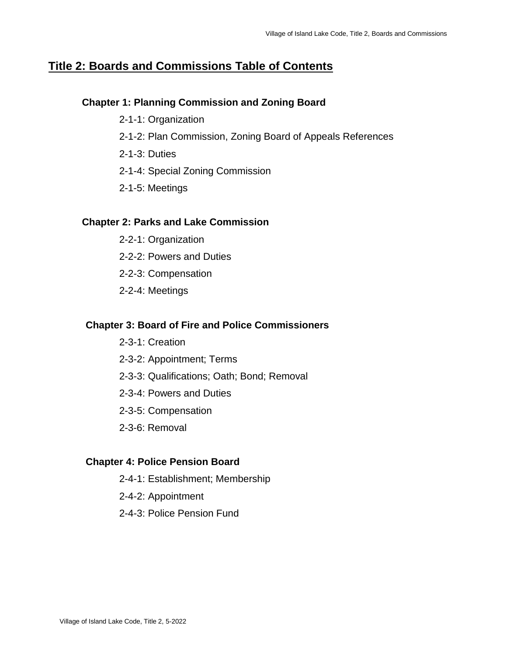# **Title 2: Boards and Commissions Table of Contents**

## **Chapter 1: Planning Commission and Zoning Board**

- 2-1-1: Organization
- 2-1-2: Plan Commission, Zoning Board of Appeals References
- 2-1-3: Duties
- 2-1-4: Special Zoning Commission
- 2-1-5: Meetings

## **Chapter 2: Parks and Lake Commission**

- 2-2-1: Organization
- 2-2-2: Powers and Duties
- 2-2-3: Compensation
- 2-2-4: Meetings

## **Chapter 3: Board of Fire and Police Commissioners**

- 2-3-1: Creation
- 2-3-2: Appointment; Terms
- 2-3-3: Qualifications; Oath; Bond; Removal
- 2-3-4: Powers and Duties
- 2-3-5: Compensation
- 2-3-6: Removal

## **Chapter 4: Police Pension Board**

- 2-4-1: Establishment; Membership
- 2-4-2: Appointment
- 2-4-3: Police Pension Fund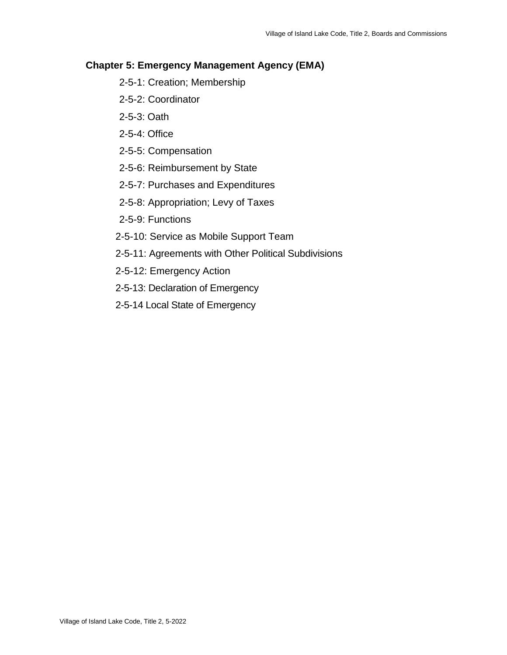## **Chapter 5: Emergency Management Agency (EMA)**

- 2-5-1: Creation; Membership
- 2-5-2: Coordinator
- 2-5-3: Oath
- 2-5-4: Office
- 2-5-5: Compensation
- 2-5-6: Reimbursement by State
- 2-5-7: Purchases and Expenditures
- 2-5-8: Appropriation; Levy of Taxes
- 2-5-9: Functions
- 2-5-10: Service as Mobile Support Team
- 2-5-11: Agreements with Other Political Subdivisions
- 2-5-12: Emergency Action
- 2-5-13: Declaration of Emergency
- 2-5-14 Local State of Emergency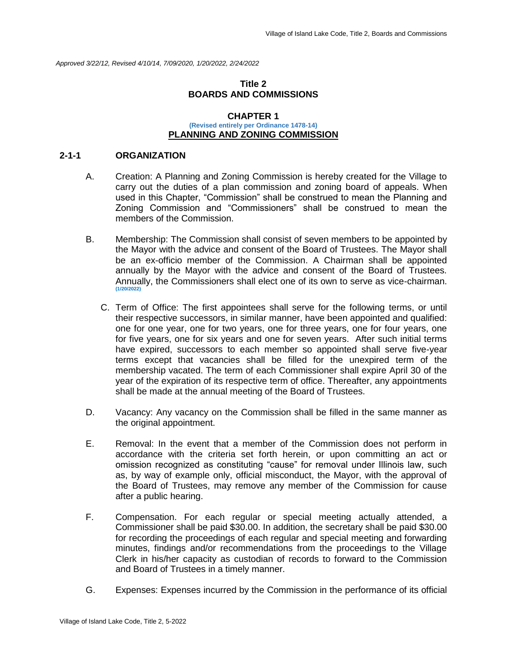*Approved 3/22/12, Revised 4/10/14, 7/09/2020, 1/20/2022, 2/24/2022*

## **Title 2 BOARDS AND COMMISSIONS**

#### **CHAPTER 1 (Revised entirely per Ordinance 1478-14) PLANNING AND ZONING COMMISSION**

#### **2-1-1 ORGANIZATION**

- A. Creation: A Planning and Zoning Commission is hereby created for the Village to carry out the duties of a plan commission and zoning board of appeals. When used in this Chapter, "Commission" shall be construed to mean the Planning and Zoning Commission and "Commissioners" shall be construed to mean the members of the Commission.
- B. Membership: The Commission shall consist of seven members to be appointed by the Mayor with the advice and consent of the Board of Trustees. The Mayor shall be an ex-officio member of the Commission. A Chairman shall be appointed annually by the Mayor with the advice and consent of the Board of Trustees. Annually, the Commissioners shall elect one of its own to serve as vice-chairman. **(1/20/2022)**
	- C. Term of Office: The first appointees shall serve for the following terms, or until their respective successors, in similar manner, have been appointed and qualified: one for one year, one for two years, one for three years, one for four years, one for five years, one for six years and one for seven years. After such initial terms have expired, successors to each member so appointed shall serve five-year terms except that vacancies shall be filled for the unexpired term of the membership vacated. The term of each Commissioner shall expire April 30 of the year of the expiration of its respective term of office. Thereafter, any appointments shall be made at the annual meeting of the Board of Trustees.
- D. Vacancy: Any vacancy on the Commission shall be filled in the same manner as the original appointment.
- E. Removal: In the event that a member of the Commission does not perform in accordance with the criteria set forth herein, or upon committing an act or omission recognized as constituting "cause" for removal under Illinois law, such as, by way of example only, official misconduct, the Mayor, with the approval of the Board of Trustees, may remove any member of the Commission for cause after a public hearing.
- F. Compensation. For each regular or special meeting actually attended, a Commissioner shall be paid \$30.00. In addition, the secretary shall be paid \$30.00 for recording the proceedings of each regular and special meeting and forwarding minutes, findings and/or recommendations from the proceedings to the Village Clerk in his/her capacity as custodian of records to forward to the Commission and Board of Trustees in a timely manner.
- G. Expenses: Expenses incurred by the Commission in the performance of its official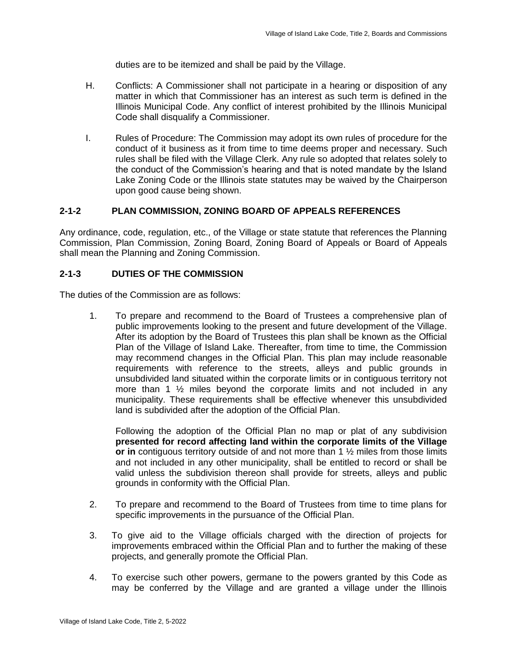duties are to be itemized and shall be paid by the Village.

- H. Conflicts: A Commissioner shall not participate in a hearing or disposition of any matter in which that Commissioner has an interest as such term is defined in the Illinois Municipal Code. Any conflict of interest prohibited by the Illinois Municipal Code shall disqualify a Commissioner.
- I. Rules of Procedure: The Commission may adopt its own rules of procedure for the conduct of it business as it from time to time deems proper and necessary. Such rules shall be filed with the Village Clerk. Any rule so adopted that relates solely to the conduct of the Commission's hearing and that is noted mandate by the Island Lake Zoning Code or the Illinois state statutes may be waived by the Chairperson upon good cause being shown.

## **2-1-2 PLAN COMMISSION, ZONING BOARD OF APPEALS REFERENCES**

Any ordinance, code, regulation, etc., of the Village or state statute that references the Planning Commission, Plan Commission, Zoning Board, Zoning Board of Appeals or Board of Appeals shall mean the Planning and Zoning Commission.

## **2-1-3 DUTIES OF THE COMMISSION**

The duties of the Commission are as follows:

1. To prepare and recommend to the Board of Trustees a comprehensive plan of public improvements looking to the present and future development of the Village. After its adoption by the Board of Trustees this plan shall be known as the Official Plan of the Village of Island Lake. Thereafter, from time to time, the Commission may recommend changes in the Official Plan. This plan may include reasonable requirements with reference to the streets, alleys and public grounds in unsubdivided land situated within the corporate limits or in contiguous territory not more than 1  $\frac{1}{2}$  miles beyond the corporate limits and not included in any municipality. These requirements shall be effective whenever this unsubdivided land is subdivided after the adoption of the Official Plan.

Following the adoption of the Official Plan no map or plat of any subdivision **presented for record affecting land within the corporate limits of the Village or in** contiguous territory outside of and not more than 1 ½ miles from those limits and not included in any other municipality, shall be entitled to record or shall be valid unless the subdivision thereon shall provide for streets, alleys and public grounds in conformity with the Official Plan.

- 2. To prepare and recommend to the Board of Trustees from time to time plans for specific improvements in the pursuance of the Official Plan.
- 3. To give aid to the Village officials charged with the direction of projects for improvements embraced within the Official Plan and to further the making of these projects, and generally promote the Official Plan.
- 4. To exercise such other powers, germane to the powers granted by this Code as may be conferred by the Village and are granted a village under the Illinois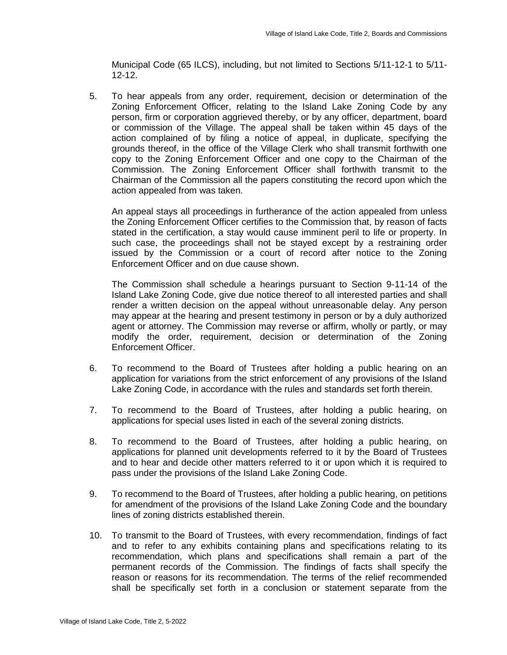Municipal Code (65 ILCS), including, but not limited to Sections 5/11-12-1 to 5/11- 12-12.

5. To hear appeals from any order, requirement, decision or determination of the Zoning Enforcement Officer, relating to the Island Lake Zoning Code by any person, firm or corporation aggrieved thereby, or by any officer, department, board or commission of the Village. The appeal shall be taken within 45 days of the action complained of by filing a notice of appeal, in duplicate, specifying the grounds thereof, in the office of the Village Clerk who shall transmit forthwith one copy to the Zoning Enforcement Officer and one copy to the Chairman of the Commission. The Zoning Enforcement Officer shall forthwith transmit to the Chairman of the Commission all the papers constituting the record upon which the action appealed from was taken.

An appeal stays all proceedings in furtherance of the action appealed from unless the Zoning Enforcement Officer certifies to the Commission that, by reason of facts stated in the certification, a stay would cause imminent peril to life or property. In such case, the proceedings shall not be stayed except by a restraining order issued by the Commission or a court of record after notice to the Zoning Enforcement Officer and on due cause shown.

The Commission shall schedule a hearings pursuant to Section 9-11-14 of the Island Lake Zoning Code, give due notice thereof to all interested parties and shall render a written decision on the appeal without unreasonable delay. Any person may appear at the hearing and present testimony in person or by a duly authorized agent or attorney. The Commission may reverse or affirm, wholly or partly, or may modify the order, requirement, decision or determination of the Zoning Enforcement Officer.

- 6. To recommend to the Board of Trustees after holding a public hearing on an application for variations from the strict enforcement of any provisions of the Island Lake Zoning Code, in accordance with the rules and standards set forth therein.
- 7. To recommend to the Board of Trustees, after holding a public hearing, on applications for special uses listed in each of the several zoning districts.
- 8. To recommend to the Board of Trustees, after holding a public hearing, on applications for planned unit developments referred to it by the Board of Trustees and to hear and decide other matters referred to it or upon which it is required to pass under the provisions of the Island Lake Zoning Code.
- 9. To recommend to the Board of Trustees, after holding a public hearing, on petitions for amendment of the provisions of the Island Lake Zoning Code and the boundary lines of zoning districts established therein.
- 10. To transmit to the Board of Trustees, with every recommendation, findings of fact and to refer to any exhibits containing plans and specifications relating to its recommendation, which plans and specifications shall remain a part of the permanent records of the Commission. The findings of facts shall specify the reason or reasons for its recommendation. The terms of the relief recommended shall be specifically set forth in a conclusion or statement separate from the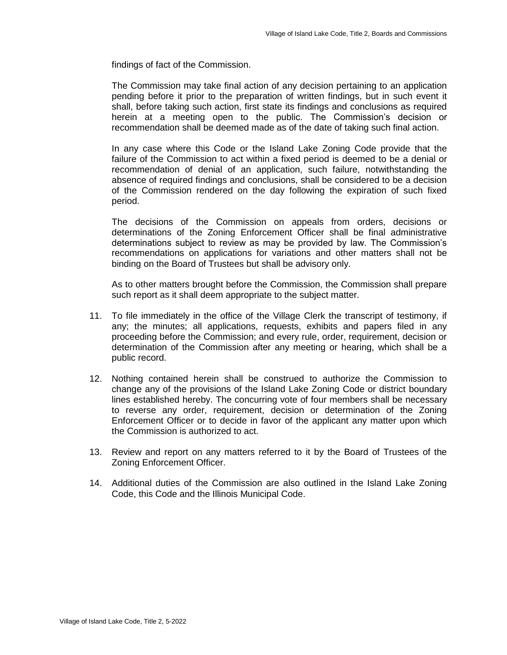findings of fact of the Commission.

The Commission may take final action of any decision pertaining to an application pending before it prior to the preparation of written findings, but in such event it shall, before taking such action, first state its findings and conclusions as required herein at a meeting open to the public. The Commission's decision or recommendation shall be deemed made as of the date of taking such final action.

In any case where this Code or the Island Lake Zoning Code provide that the failure of the Commission to act within a fixed period is deemed to be a denial or recommendation of denial of an application, such failure, notwithstanding the absence of required findings and conclusions, shall be considered to be a decision of the Commission rendered on the day following the expiration of such fixed period.

The decisions of the Commission on appeals from orders, decisions or determinations of the Zoning Enforcement Officer shall be final administrative determinations subject to review as may be provided by law. The Commission's recommendations on applications for variations and other matters shall not be binding on the Board of Trustees but shall be advisory only.

As to other matters brought before the Commission, the Commission shall prepare such report as it shall deem appropriate to the subject matter.

- 11. To file immediately in the office of the Village Clerk the transcript of testimony, if any; the minutes; all applications, requests, exhibits and papers filed in any proceeding before the Commission; and every rule, order, requirement, decision or determination of the Commission after any meeting or hearing, which shall be a public record.
- 12. Nothing contained herein shall be construed to authorize the Commission to change any of the provisions of the Island Lake Zoning Code or district boundary lines established hereby. The concurring vote of four members shall be necessary to reverse any order, requirement, decision or determination of the Zoning Enforcement Officer or to decide in favor of the applicant any matter upon which the Commission is authorized to act.
- 13. Review and report on any matters referred to it by the Board of Trustees of the Zoning Enforcement Officer.
- 14. Additional duties of the Commission are also outlined in the Island Lake Zoning Code, this Code and the Illinois Municipal Code.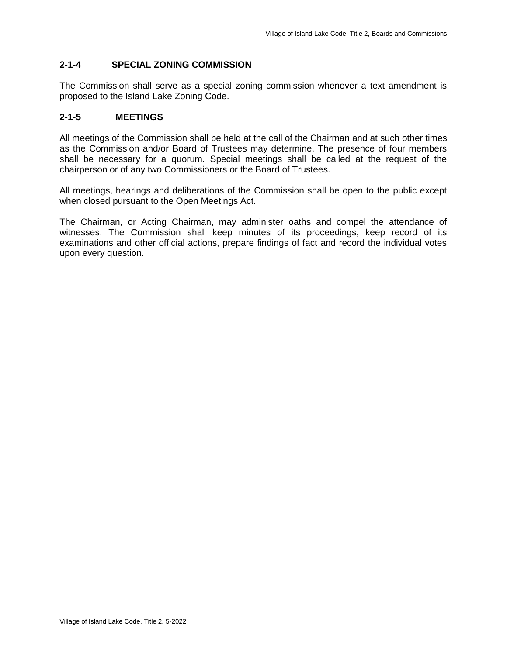## **2-1-4 SPECIAL ZONING COMMISSION**

The Commission shall serve as a special zoning commission whenever a text amendment is proposed to the Island Lake Zoning Code.

## **2-1-5 MEETINGS**

All meetings of the Commission shall be held at the call of the Chairman and at such other times as the Commission and/or Board of Trustees may determine. The presence of four members shall be necessary for a quorum. Special meetings shall be called at the request of the chairperson or of any two Commissioners or the Board of Trustees.

All meetings, hearings and deliberations of the Commission shall be open to the public except when closed pursuant to the Open Meetings Act.

The Chairman, or Acting Chairman, may administer oaths and compel the attendance of witnesses. The Commission shall keep minutes of its proceedings, keep record of its examinations and other official actions, prepare findings of fact and record the individual votes upon every question.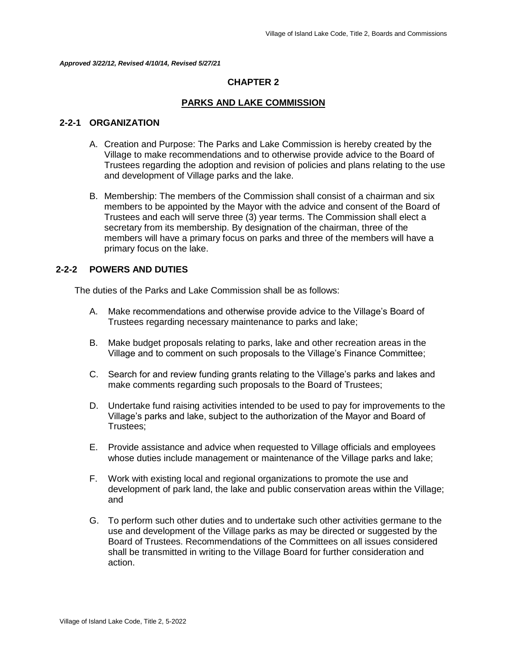*Approved 3/22/12, Revised 4/10/14, Revised 5/27/21*

## **CHAPTER 2**

## **PARKS AND LAKE COMMISSION**

### **2-2-1 ORGANIZATION**

- A. Creation and Purpose: The Parks and Lake Commission is hereby created by the Village to make recommendations and to otherwise provide advice to the Board of Trustees regarding the adoption and revision of policies and plans relating to the use and development of Village parks and the lake.
- B. Membership: The members of the Commission shall consist of a chairman and six members to be appointed by the Mayor with the advice and consent of the Board of Trustees and each will serve three (3) year terms. The Commission shall elect a secretary from its membership. By designation of the chairman, three of the members will have a primary focus on parks and three of the members will have a primary focus on the lake.

## **2-2-2 POWERS AND DUTIES**

The duties of the Parks and Lake Commission shall be as follows:

- A. Make recommendations and otherwise provide advice to the Village's Board of Trustees regarding necessary maintenance to parks and lake;
- B. Make budget proposals relating to parks, lake and other recreation areas in the Village and to comment on such proposals to the Village's Finance Committee;
- C. Search for and review funding grants relating to the Village's parks and lakes and make comments regarding such proposals to the Board of Trustees;
- D. Undertake fund raising activities intended to be used to pay for improvements to the Village's parks and lake, subject to the authorization of the Mayor and Board of Trustees;
- E. Provide assistance and advice when requested to Village officials and employees whose duties include management or maintenance of the Village parks and lake;
- F. Work with existing local and regional organizations to promote the use and development of park land, the lake and public conservation areas within the Village; and
- G. To perform such other duties and to undertake such other activities germane to the use and development of the Village parks as may be directed or suggested by the Board of Trustees. Recommendations of the Committees on all issues considered shall be transmitted in writing to the Village Board for further consideration and action.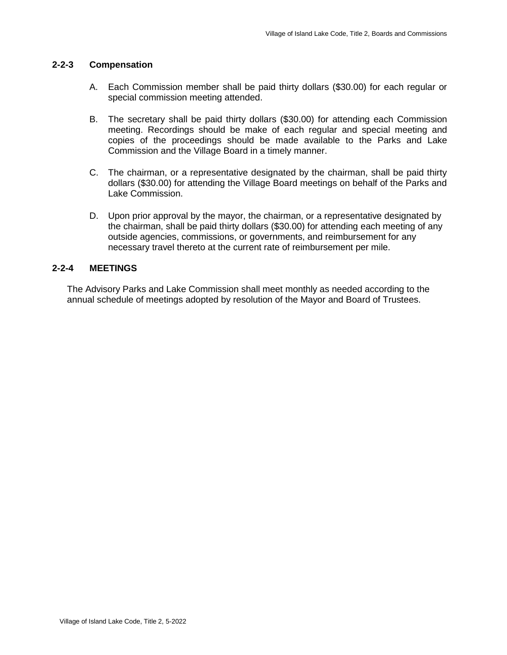## **2-2-3 Compensation**

- A. Each Commission member shall be paid thirty dollars (\$30.00) for each regular or special commission meeting attended.
- B. The secretary shall be paid thirty dollars (\$30.00) for attending each Commission meeting. Recordings should be make of each regular and special meeting and copies of the proceedings should be made available to the Parks and Lake Commission and the Village Board in a timely manner.
- C. The chairman, or a representative designated by the chairman, shall be paid thirty dollars (\$30.00) for attending the Village Board meetings on behalf of the Parks and Lake Commission.
- D. Upon prior approval by the mayor, the chairman, or a representative designated by the chairman, shall be paid thirty dollars (\$30.00) for attending each meeting of any outside agencies, commissions, or governments, and reimbursement for any necessary travel thereto at the current rate of reimbursement per mile.

## **2-2-4 MEETINGS**

The Advisory Parks and Lake Commission shall meet monthly as needed according to the annual schedule of meetings adopted by resolution of the Mayor and Board of Trustees.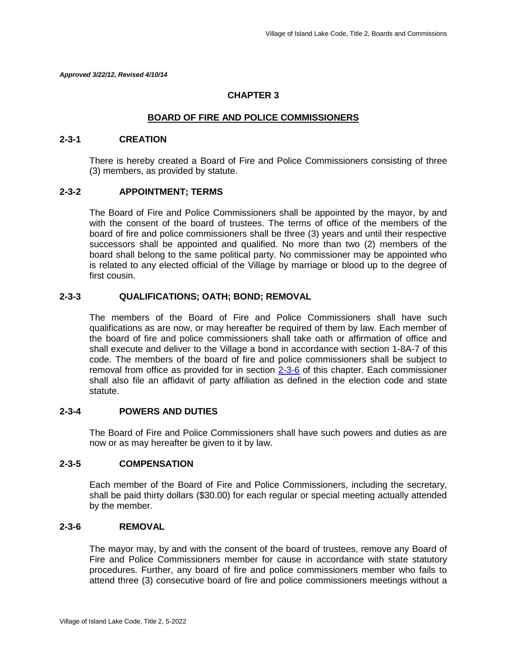*Approved 3/22/12, Revised 4/10/14*

## **CHAPTER 3**

## **BOARD OF FIRE AND POLICE COMMISSIONERS**

### **2-3-1 CREATION**

There is hereby created a Board of Fire and Police Commissioners consisting of three (3) members, as provided by statute.

## **2-3-2 APPOINTMENT; TERMS**

The Board of Fire and Police Commissioners shall be appointed by the mayor, by and with the consent of the board of trustees. The terms of office of the members of the board of fire and police commissioners shall be three (3) years and until their respective successors shall be appointed and qualified. No more than two (2) members of the board shall belong to the same political party. No commissioner may be appointed who is related to any elected official of the Village by marriage or blood up to the degree of first cousin.

## **2-3-3 QUALIFICATIONS; OATH; BOND; REMOVAL**

The members of the Board of Fire and Police Commissioners shall have such qualifications as are now, or may hereafter be required of them by law. Each member of the board of fire and police commissioners shall take oath or affirmation of office and shall execute and deliver to the Village a bond in accordance with section 1-8A-7 of this code. The members of the board of fire and police commissioners shall be subject to removal from office as provided for in section 2-3-6 of this chapter. Each commissioner shall also file an affidavit of party affiliation as defined in the election code and state statute.

## **2-3-4 POWERS AND DUTIES**

The Board of Fire and Police Commissioners shall have such powers and duties as are now or as may hereafter be given to it by law.

## **2-3-5 COMPENSATION**

Each member of the Board of Fire and Police Commissioners, including the secretary, shall be paid thirty dollars (\$30.00) for each regular or special meeting actually attended by the member.

#### **2-3-6 REMOVAL**

The mayor may, by and with the consent of the board of trustees, remove any Board of Fire and Police Commissioners member for cause in accordance with state statutory procedures. Further, any board of fire and police commissioners member who fails to attend three (3) consecutive board of fire and police commissioners meetings without a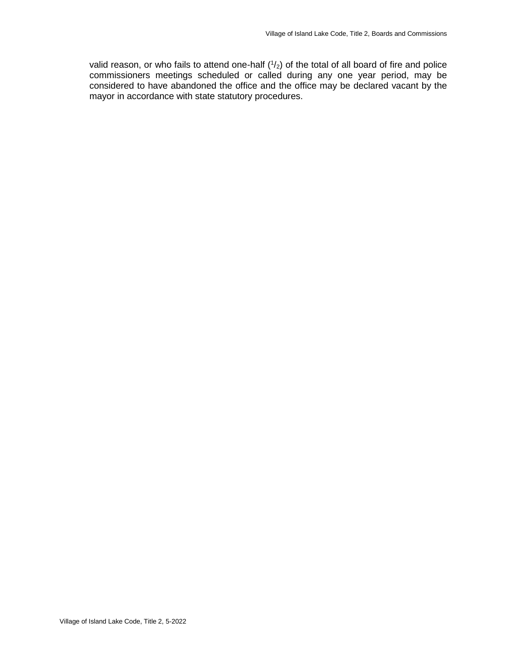valid reason, or who fails to attend one-half  $(1/2)$  of the total of all board of fire and police commissioners meetings scheduled or called during any one year period, may be considered to have abandoned the office and the office may be declared vacant by the mayor in accordance with state statutory procedures.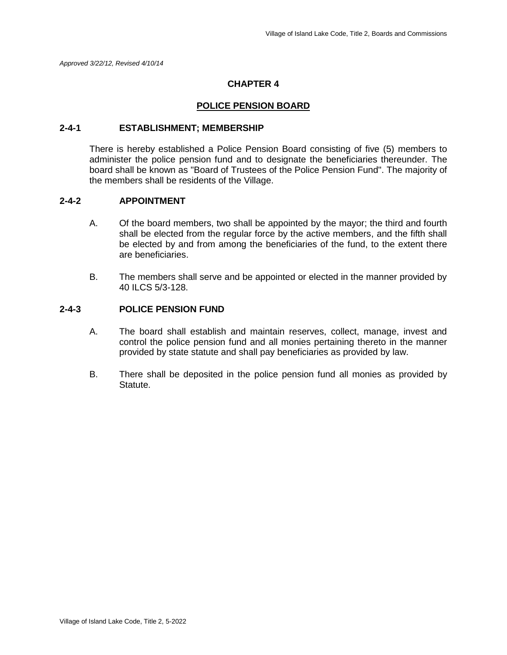## **CHAPTER 4**

### **POLICE PENSION BOARD**

### **2-4-1 ESTABLISHMENT; MEMBERSHIP**

There is hereby established a Police Pension Board consisting of five (5) members to administer the police pension fund and to designate the beneficiaries thereunder. The board shall be known as "Board of Trustees of the Police Pension Fund". The majority of the members shall be residents of the Village.

## **2-4-2 APPOINTMENT**

- A. Of the board members, two shall be appointed by the mayor; the third and fourth shall be elected from the regular force by the active members, and the fifth shall be elected by and from among the beneficiaries of the fund, to the extent there are beneficiaries.
- B. The members shall serve and be appointed or elected in the manner provided by 40 ILCS 5/3-128.

## **2-4-3 POLICE PENSION FUND**

- A. The board shall establish and maintain reserves, collect, manage, invest and control the police pension fund and all monies pertaining thereto in the manner provided by state statute and shall pay beneficiaries as provided by law.
- B. There shall be deposited in the police pension fund all monies as provided by Statute.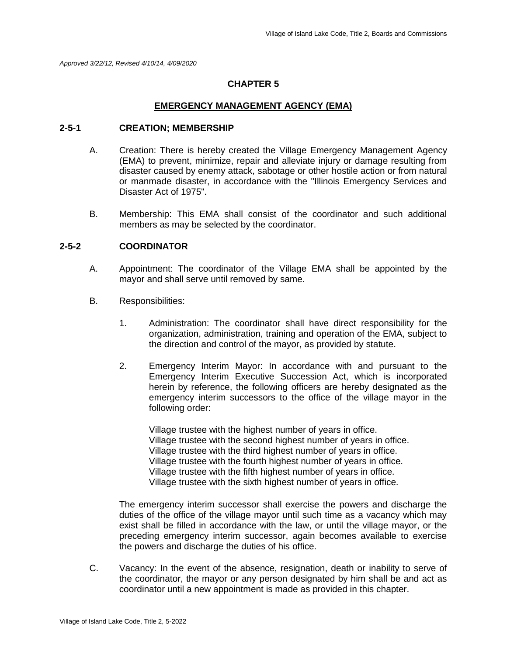*Approved 3/22/12, Revised 4/10/14, 4/09/2020*

## **CHAPTER 5**

## **EMERGENCY MANAGEMENT AGENCY (EMA)**

## **2-5-1 CREATION; MEMBERSHIP**

- A. Creation: There is hereby created the Village Emergency Management Agency (EMA) to prevent, minimize, repair and alleviate injury or damage resulting from disaster caused by enemy attack, sabotage or other hostile action or from natural or manmade disaster, in accordance with the "Illinois Emergency Services and Disaster Act of 1975".
- B. Membership: This EMA shall consist of the coordinator and such additional members as may be selected by the coordinator.

## **2-5-2 COORDINATOR**

- A. Appointment: The coordinator of the Village EMA shall be appointed by the mayor and shall serve until removed by same.
- B. Responsibilities:
	- 1. Administration: The coordinator shall have direct responsibility for the organization, administration, training and operation of the EMA, subject to the direction and control of the mayor, as provided by statute.
	- 2. Emergency Interim Mayor: In accordance with and pursuant to the Emergency Interim Executive Succession Act, which is incorporated herein by reference, the following officers are hereby designated as the emergency interim successors to the office of the village mayor in the following order:

Village trustee with the highest number of years in office. Village trustee with the second highest number of years in office. Village trustee with the third highest number of years in office. Village trustee with the fourth highest number of years in office. Village trustee with the fifth highest number of years in office. Village trustee with the sixth highest number of years in office.

The emergency interim successor shall exercise the powers and discharge the duties of the office of the village mayor until such time as a vacancy which may exist shall be filled in accordance with the law, or until the village mayor, or the preceding emergency interim successor, again becomes available to exercise the powers and discharge the duties of his office.

C. Vacancy: In the event of the absence, resignation, death or inability to serve of the coordinator, the mayor or any person designated by him shall be and act as coordinator until a new appointment is made as provided in this chapter.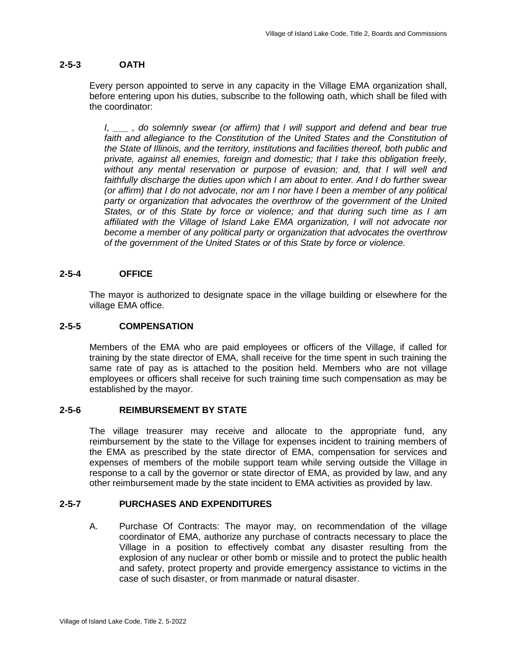## **2-5-3 OATH**

Every person appointed to serve in any capacity in the Village EMA organization shall, before entering upon his duties, subscribe to the following oath, which shall be filed with the coordinator:

*I, \_\_\_ , do solemnly swear (or affirm) that I will support and defend and bear true faith and allegiance to the Constitution of the United States and the Constitution of the State of Illinois, and the territory, institutions and facilities thereof, both public and private, against all enemies, foreign and domestic; that I take this obligation freely, without any mental reservation or purpose of evasion; and, that I will well and*  faithfully discharge the duties upon which I am about to enter. And I do further swear *(or affirm) that I do not advocate, nor am I nor have I been a member of any political*  party or organization that advocates the overthrow of the government of the United *States, or of this State by force or violence; and that during such time as I am affiliated with the Village of Island Lake EMA organization, I will not advocate nor become a member of any political party or organization that advocates the overthrow of the government of the United States or of this State by force or violence.*

## **2-5-4 OFFICE**

The mayor is authorized to designate space in the village building or elsewhere for the village EMA office.

## **2-5-5 COMPENSATION**

Members of the EMA who are paid employees or officers of the Village, if called for training by the state director of EMA, shall receive for the time spent in such training the same rate of pay as is attached to the position held. Members who are not village employees or officers shall receive for such training time such compensation as may be established by the mayor.

## **2-5-6 REIMBURSEMENT BY STATE**

The village treasurer may receive and allocate to the appropriate fund, any reimbursement by the state to the Village for expenses incident to training members of the EMA as prescribed by the state director of EMA, compensation for services and expenses of members of the mobile support team while serving outside the Village in response to a call by the governor or state director of EMA, as provided by law, and any other reimbursement made by the state incident to EMA activities as provided by law.

## **2-5-7 PURCHASES AND EXPENDITURES**

A. Purchase Of Contracts: The mayor may, on recommendation of the village coordinator of EMA, authorize any purchase of contracts necessary to place the Village in a position to effectively combat any disaster resulting from the explosion of any nuclear or other bomb or missile and to protect the public health and safety, protect property and provide emergency assistance to victims in the case of such disaster, or from manmade or natural disaster.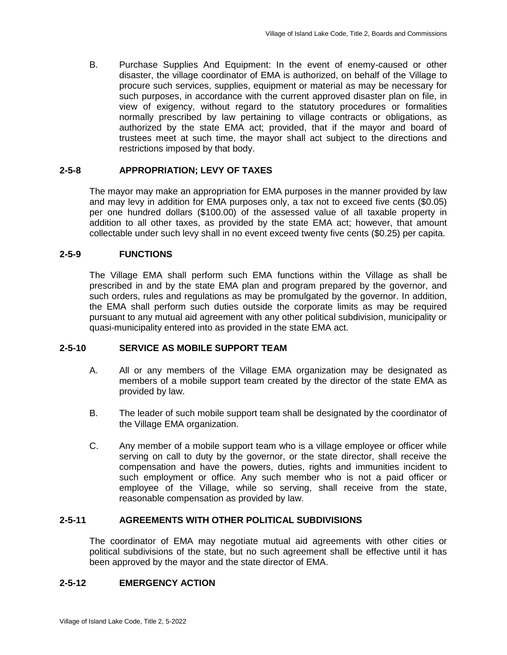B. Purchase Supplies And Equipment: In the event of enemy-caused or other disaster, the village coordinator of EMA is authorized, on behalf of the Village to procure such services, supplies, equipment or material as may be necessary for such purposes, in accordance with the current approved disaster plan on file, in view of exigency, without regard to the statutory procedures or formalities normally prescribed by law pertaining to village contracts or obligations, as authorized by the state EMA act; provided, that if the mayor and board of trustees meet at such time, the mayor shall act subject to the directions and restrictions imposed by that body.

## **2-5-8 APPROPRIATION; LEVY OF TAXES**

The mayor may make an appropriation for EMA purposes in the manner provided by law and may levy in addition for EMA purposes only, a tax not to exceed five cents (\$0.05) per one hundred dollars (\$100.00) of the assessed value of all taxable property in addition to all other taxes, as provided by the state EMA act; however, that amount collectable under such levy shall in no event exceed twenty five cents (\$0.25) per capita.

## **2-5-9 FUNCTIONS**

The Village EMA shall perform such EMA functions within the Village as shall be prescribed in and by the state EMA plan and program prepared by the governor, and such orders, rules and regulations as may be promulgated by the governor. In addition, the EMA shall perform such duties outside the corporate limits as may be required pursuant to any mutual aid agreement with any other political subdivision, municipality or quasi-municipality entered into as provided in the state EMA act.

## **2-5-10 SERVICE AS MOBILE SUPPORT TEAM**

- A. All or any members of the Village EMA organization may be designated as members of a mobile support team created by the director of the state EMA as provided by law.
- B. The leader of such mobile support team shall be designated by the coordinator of the Village EMA organization.
- C. Any member of a mobile support team who is a village employee or officer while serving on call to duty by the governor, or the state director, shall receive the compensation and have the powers, duties, rights and immunities incident to such employment or office. Any such member who is not a paid officer or employee of the Village, while so serving, shall receive from the state, reasonable compensation as provided by law.

## **2-5-11 AGREEMENTS WITH OTHER POLITICAL SUBDIVISIONS**

The coordinator of EMA may negotiate mutual aid agreements with other cities or political subdivisions of the state, but no such agreement shall be effective until it has been approved by the mayor and the state director of EMA.

## **2-5-12 EMERGENCY ACTION**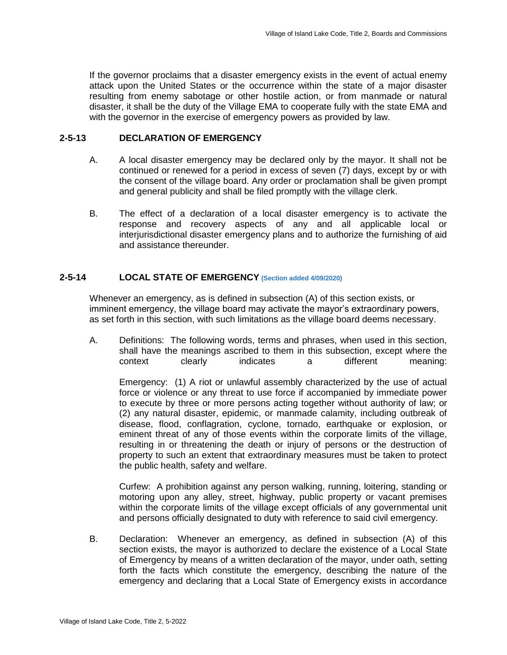If the governor proclaims that a disaster emergency exists in the event of actual enemy attack upon the United States or the occurrence within the state of a major disaster resulting from enemy sabotage or other hostile action, or from manmade or natural disaster, it shall be the duty of the Village EMA to cooperate fully with the state EMA and with the governor in the exercise of emergency powers as provided by law.

## **2-5-13 DECLARATION OF EMERGENCY**

- A. A local disaster emergency may be declared only by the mayor. It shall not be continued or renewed for a period in excess of seven (7) days, except by or with the consent of the village board. Any order or proclamation shall be given prompt and general publicity and shall be filed promptly with the village clerk.
- B. The effect of a declaration of a local disaster emergency is to activate the response and recovery aspects of any and all applicable local or interjurisdictional disaster emergency plans and to authorize the furnishing of aid and assistance thereunder.

## **2-5-14 LOCAL STATE OF EMERGENCY (Section added 4/09/2020)**

Whenever an emergency, as is defined in subsection (A) of this section exists, or imminent emergency, the village board may activate the mayor's extraordinary powers, as set forth in this section, with such limitations as the village board deems necessary.

A. Definitions: The following words, terms and phrases, when used in this section, shall have the meanings ascribed to them in this subsection, except where the context clearly indicates a different meaning:

Emergency: (1) A riot or unlawful assembly characterized by the use of actual force or violence or any threat to use force if accompanied by immediate power to execute by three or more persons acting together without authority of law; or (2) any natural disaster, epidemic, or manmade calamity, including outbreak of disease, flood, conflagration, cyclone, tornado, earthquake or explosion, or eminent threat of any of those events within the corporate limits of the village, resulting in or threatening the death or injury of persons or the destruction of property to such an extent that extraordinary measures must be taken to protect the public health, safety and welfare.

Curfew: A prohibition against any person walking, running, loitering, standing or motoring upon any alley, street, highway, public property or vacant premises within the corporate limits of the village except officials of any governmental unit and persons officially designated to duty with reference to said civil emergency.

B. Declaration: Whenever an emergency, as defined in subsection (A) of this section exists, the mayor is authorized to declare the existence of a Local State of Emergency by means of a written declaration of the mayor, under oath, setting forth the facts which constitute the emergency, describing the nature of the emergency and declaring that a Local State of Emergency exists in accordance